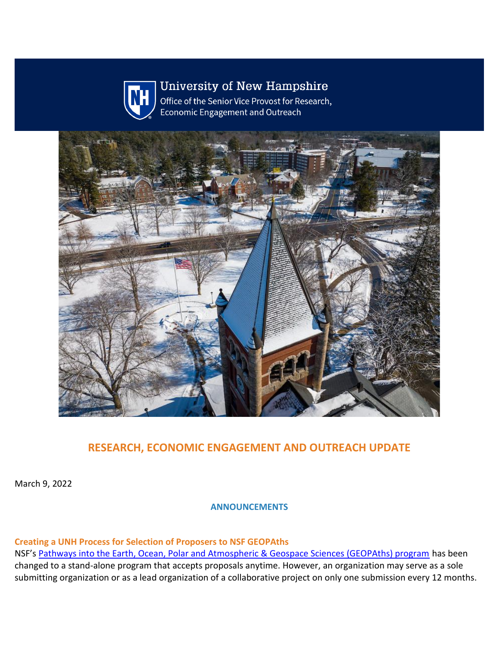

**University of New Hampshire** 

Office of the Senior Vice Provost for Research, **Economic Engagement and Outreach** 



# **RESEARCH, ECONOMIC ENGAGEMENT AND OUTREACH UPDATE**

March 9, 2022

**ANNOUNCEMENTS**

**Creating a UNH Process for Selection of Proposers to NSF GEOPAths**  NSF's [Pathways into the Earth, Ocean, Polar and Atmospheric & Geospace Sciences \(GEOPAths\) program](https://nam12.safelinks.protection.outlook.com/?url=https%3A%2F%2Fclick.send.unh.edu%2F%3Fqs%3Dfd8b3a352c344b9178072f7341abeba735c034eb79542b92c7ea83383fc9431bb63ecbc92af1a7d2f27bc39d42fe8c118d5f4b5af5044e4a&data=04%7C01%7CNicole.Hentz%40unh.edu%7Ced6a1a9946014f88376e08da01e48c3c%7Cd6241893512d46dc8d2bbe47e25f5666%7C0%7C0%7C637824378359671745%7CUnknown%7CTWFpbGZsb3d8eyJWIjoiMC4wLjAwMDAiLCJQIjoiV2luMzIiLCJBTiI6Ik1haWwiLCJXVCI6Mn0%3D%7C3000&sdata=AWpRpvtwyvhXWTOSu2DaOn5vFZD59ejVEO0BeNk3WIs%3D&reserved=0) has been changed to a stand-alone program that accepts proposals anytime. However, an organization may serve as a sole submitting organization or as a lead organization of a collaborative project on only one submission every 12 months.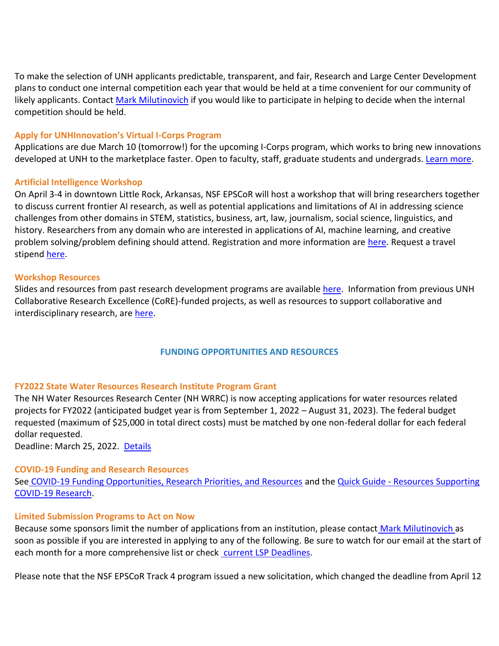To make the selection of UNH applicants predictable, transparent, and fair, Research and Large Center Development plans to conduct one internal competition each year that would be held at a time convenient for our community of likely applicants. Contact [Mark Milutinovich](mailto:Mark.milutinovich@unh.edu) if you would like to participate in helping to decide when the internal competition should be held.

#### **Apply for UNHInnovation's Virtual I-Corps Program**

Applications are due March 10 (tomorrow!) for the upcoming I-Corps program, which works to bring new innovations developed at UNH to the marketplace faster. Open to faculty, staff, graduate students and undergrads. [Learn more.](https://nam12.safelinks.protection.outlook.com/?url=https%3A%2F%2Fclick.send.unh.edu%2F%3Fqs%3Dfd8b3a352c344b91e906f7dbc2bc579266bcd9f61ad307031daefb9cf7133713b2d569f1001d3a47290d33591b84ac484ac24adb2a2164e7&data=04%7C01%7CNicole.Hentz%40unh.edu%7Ced6a1a9946014f88376e08da01e48c3c%7Cd6241893512d46dc8d2bbe47e25f5666%7C0%7C0%7C637824378359671745%7CUnknown%7CTWFpbGZsb3d8eyJWIjoiMC4wLjAwMDAiLCJQIjoiV2luMzIiLCJBTiI6Ik1haWwiLCJXVCI6Mn0%3D%7C3000&sdata=ksMvy5V5zn3kC5P8scllM4OydvzHiWFm149uTEaO%2Fp0%3D&reserved=0)

#### **Artificial Intelligence Workshop**

On April 3-4 in downtown Little Rock, Arkansas, NSF EPSCoR will host a workshop that will bring researchers together to discuss current frontier AI research, as well as potential applications and limitations of AI in addressing science challenges from other domains in STEM, statistics, business, art, law, journalism, social science, linguistics, and history. Researchers from any domain who are interested in applications of AI, machine learning, and creative problem solving/problem defining should attend. Registration and more information are [here.](https://nam12.safelinks.protection.outlook.com/?url=https%3A%2F%2Fclick.send.unh.edu%2F%3Fqs%3Dfd8b3a352c344b91ae7d4ef84e56fa613f2ef9aaa2c0f56675e98db64851535a872750e01c96c9be6b646ecb692ab79677cf9cfb17dc1449&data=04%7C01%7CNicole.Hentz%40unh.edu%7Ced6a1a9946014f88376e08da01e48c3c%7Cd6241893512d46dc8d2bbe47e25f5666%7C0%7C0%7C637824378359671745%7CUnknown%7CTWFpbGZsb3d8eyJWIjoiMC4wLjAwMDAiLCJQIjoiV2luMzIiLCJBTiI6Ik1haWwiLCJXVCI6Mn0%3D%7C3000&sdata=S3fQf5yU7b96MKD1IZLW5pG725w7pDXRt4evTOChCzg%3D&reserved=0) Request a travel stipend [here.](mailto:JFowler@Arkansasedc.com)

#### **Workshop Resources**

Slides and resources from past research development programs are available [here.](https://nam12.safelinks.protection.outlook.com/?url=https%3A%2F%2Fclick.send.unh.edu%2F%3Fqs%3Dfd8b3a352c344b9175c0e73e3415b38d766f204db97865e7de8dc1cfa01513b3a1cc8a57759ab118a8e4488ac1cb4c0d293782093553b3c8&data=04%7C01%7CNicole.Hentz%40unh.edu%7Ced6a1a9946014f88376e08da01e48c3c%7Cd6241893512d46dc8d2bbe47e25f5666%7C0%7C0%7C637824378359671745%7CUnknown%7CTWFpbGZsb3d8eyJWIjoiMC4wLjAwMDAiLCJQIjoiV2luMzIiLCJBTiI6Ik1haWwiLCJXVCI6Mn0%3D%7C3000&sdata=1ksnMwr%2B66ZehKAsVSMd%2BEMBayzAEt7ODgokwUgaqCE%3D&reserved=0) Information from previous UNH Collaborative Research Excellence (CoRE)-funded projects, as well as resources to support collaborative and interdisciplinary research, are [here.](https://nam12.safelinks.protection.outlook.com/?url=https%3A%2F%2Fclick.send.unh.edu%2F%3Fqs%3Dfd8b3a352c344b916b717e36b3bb0e33ecb6f5cc556ade62924437e2476cffa8cd007b180fe4b19937ba4f017eabf9429ff3b9c5ee9dc634&data=04%7C01%7CNicole.Hentz%40unh.edu%7Ced6a1a9946014f88376e08da01e48c3c%7Cd6241893512d46dc8d2bbe47e25f5666%7C0%7C0%7C637824378359671745%7CUnknown%7CTWFpbGZsb3d8eyJWIjoiMC4wLjAwMDAiLCJQIjoiV2luMzIiLCJBTiI6Ik1haWwiLCJXVCI6Mn0%3D%7C3000&sdata=69GJER7cZnvCUVDLv33f2MpZndBf6BEK3njjMgku%2Fi0%3D&reserved=0)

# **FUNDING OPPORTUNITIES AND RESOURCES**

# **FY2022 State Water Resources Research Institute Program Grant**

The NH Water Resources Research Center (NH WRRC) is now accepting applications for water resources related projects for FY2022 (anticipated budget year is from September 1, 2022 – August 31, 2023). The federal budget requested (maximum of \$25,000 in total direct costs) must be matched by one non-federal dollar for each federal dollar requested.

Deadline: March 25, 2022. [Details](https://nam12.safelinks.protection.outlook.com/?url=https%3A%2F%2Fclick.send.unh.edu%2F%3Fqs%3Dfd8b3a352c344b916259664c9f6c38852f04517a85d505ecb0b5be0cce61d7cbc9f308c528ae9b4f4859bab9eef093d35b53f26b961b6eb9&data=04%7C01%7CNicole.Hentz%40unh.edu%7Ced6a1a9946014f88376e08da01e48c3c%7Cd6241893512d46dc8d2bbe47e25f5666%7C0%7C0%7C637824378359671745%7CUnknown%7CTWFpbGZsb3d8eyJWIjoiMC4wLjAwMDAiLCJQIjoiV2luMzIiLCJBTiI6Ik1haWwiLCJXVCI6Mn0%3D%7C3000&sdata=AJdUSwjlORr3%2BmDIMCnTW%2FokTD55KVKNwaTQBbw7BSU%3D&reserved=0)

# **COVID-19 Funding and Research Resources**

See [COVID-19 Funding Opportunities, Research Priorities, and Resources](https://nam12.safelinks.protection.outlook.com/?url=https%3A%2F%2Fclick.send.unh.edu%2F%3Fqs%3Dfd8b3a352c344b91600422e2e23a880b45253feac001143ff97e6f1664e6b7fa124cc802c328444a54959ac9772e0f41346ccfd4339644e9&data=04%7C01%7CNicole.Hentz%40unh.edu%7Ced6a1a9946014f88376e08da01e48c3c%7Cd6241893512d46dc8d2bbe47e25f5666%7C0%7C0%7C637824378359671745%7CUnknown%7CTWFpbGZsb3d8eyJWIjoiMC4wLjAwMDAiLCJQIjoiV2luMzIiLCJBTiI6Ik1haWwiLCJXVCI6Mn0%3D%7C3000&sdata=d4%2FKr06jelkieBdJzSidDEvQq1BorNvq7XmstsZTD9k%3D&reserved=0) and the Quick Guide - Resources Supporting [COVID-19 Research.](https://nam12.safelinks.protection.outlook.com/?url=https%3A%2F%2Fclick.send.unh.edu%2F%3Fqs%3Dfd8b3a352c344b9147b940a19014bf9c3a3dc3dc825060b9b05ae1b4f01bfa649967d36ce3fabba2010d0f232f361f8aa1ba4c23bc479bef&data=04%7C01%7CNicole.Hentz%40unh.edu%7Ced6a1a9946014f88376e08da01e48c3c%7Cd6241893512d46dc8d2bbe47e25f5666%7C0%7C0%7C637824378359671745%7CUnknown%7CTWFpbGZsb3d8eyJWIjoiMC4wLjAwMDAiLCJQIjoiV2luMzIiLCJBTiI6Ik1haWwiLCJXVCI6Mn0%3D%7C3000&sdata=mgZdNe%2Bs01IWenA%2BrNXn4%2BzQEaxQPrZw03BbykMB9kM%3D&reserved=0)

#### **Limited Submission Programs to Act on Now**

Because some sponsors limit the number of applications from an institution, please contact [Mark Milutinovich](mailto:mark.milutinovich@unh.edu) as soon as possible if you are interested in applying to any of the following. Be sure to watch for our email at the start of each month for a more comprehensive list or check [current LSP Deadlines.](https://nam12.safelinks.protection.outlook.com/?url=https%3A%2F%2Fclick.send.unh.edu%2F%3Fqs%3Dfd8b3a352c344b91f7a2500295602f0dedc0aab14d4b9b24ec6dfe8141277951f84141585806105f7c2ea9d80978e8ae41abdd8a8bef59ba&data=04%7C01%7CNicole.Hentz%40unh.edu%7Ced6a1a9946014f88376e08da01e48c3c%7Cd6241893512d46dc8d2bbe47e25f5666%7C0%7C0%7C637824378359671745%7CUnknown%7CTWFpbGZsb3d8eyJWIjoiMC4wLjAwMDAiLCJQIjoiV2luMzIiLCJBTiI6Ik1haWwiLCJXVCI6Mn0%3D%7C3000&sdata=uS2%2F9s5rCx12UiblT4uHlkGF0u6gPSJhgdWhHu8S6Qk%3D&reserved=0)

Please note that the NSF EPSCoR Track 4 program issued a new solicitation, which changed the deadline from April 12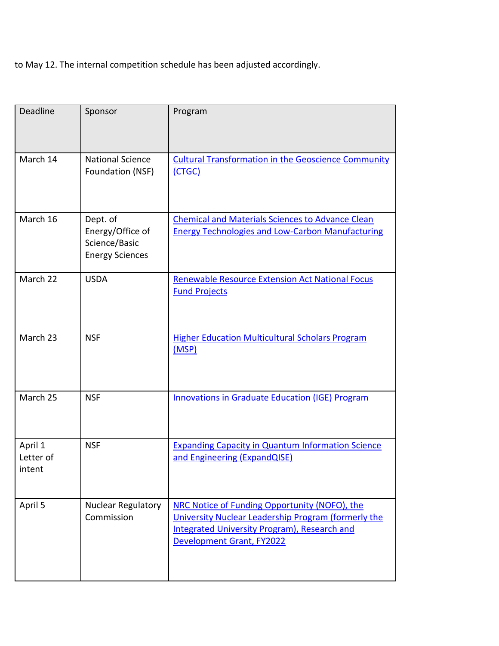to May 12. The internal competition schedule has been adjusted accordingly.

| Deadline                       | Sponsor                                                                 | Program                                                                                                                                                                           |
|--------------------------------|-------------------------------------------------------------------------|-----------------------------------------------------------------------------------------------------------------------------------------------------------------------------------|
| March 14                       | <b>National Science</b><br>Foundation (NSF)                             | <b>Cultural Transformation in the Geoscience Community</b><br>(CTGC)                                                                                                              |
| March 16                       | Dept. of<br>Energy/Office of<br>Science/Basic<br><b>Energy Sciences</b> | <b>Chemical and Materials Sciences to Advance Clean</b><br><b>Energy Technologies and Low-Carbon Manufacturing</b>                                                                |
| March 22                       | <b>USDA</b>                                                             | <b>Renewable Resource Extension Act National Focus</b><br><b>Fund Projects</b>                                                                                                    |
| March 23                       | <b>NSF</b>                                                              | <b>Higher Education Multicultural Scholars Program</b><br>(MSP)                                                                                                                   |
| March 25                       | <b>NSF</b>                                                              | <b>Innovations in Graduate Education (IGE) Program</b>                                                                                                                            |
| April 1<br>Letter of<br>intent | <b>NSF</b>                                                              | <b>Expanding Capacity in Quantum Information Science</b><br>and Engineering (ExpandQISE)                                                                                          |
| April 5                        | Nuclear Regulatory<br>Commission                                        | NRC Notice of Funding Opportunity (NOFO), the<br>University Nuclear Leadership Program (formerly the<br>Integrated University Program), Research and<br>Development Grant, FY2022 |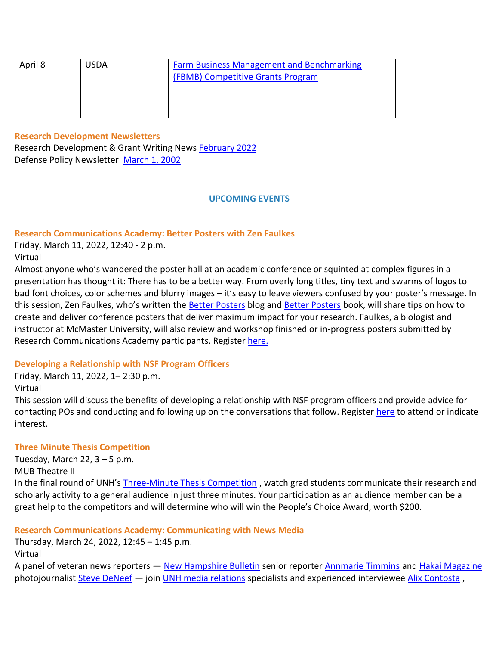| April 8 | <b>USDA</b> | <b>Farm Business Management and Benchmarking</b><br>(FBMB) Competitive Grants Program |
|---------|-------------|---------------------------------------------------------------------------------------|
|         |             |                                                                                       |

# **Research Development Newsletters**

Research Development & Grant Writing News **February 2022** Defense Policy Newsletter [March 1, 2002](https://nam12.safelinks.protection.outlook.com/?url=https%3A%2F%2Fclick.send.unh.edu%2F%3Fqs%3Dfd8b3a352c344b91a4542060356946cde3ae7875448c26930561edd7552e03a1ff8f59731dc6734f028a74b3b20acced006a3f6a3e8e8e18&data=04%7C01%7CNicole.Hentz%40unh.edu%7Ced6a1a9946014f88376e08da01e48c3c%7Cd6241893512d46dc8d2bbe47e25f5666%7C0%7C0%7C637824378359827999%7CUnknown%7CTWFpbGZsb3d8eyJWIjoiMC4wLjAwMDAiLCJQIjoiV2luMzIiLCJBTiI6Ik1haWwiLCJXVCI6Mn0%3D%7C3000&sdata=Ql7iT2HJKIR94%2F7hodVk%2F3n%2FMvYy5XUYE3Js5l1yvXw%3D&reserved=0)

#### **UPCOMING EVENTS**

# **Research Communications Academy: Better Posters with Zen Faulkes**

Friday, March 11, 2022, 12:40 - 2 p.m.

Virtual

Almost anyone who's wandered the poster hall at an academic conference or squinted at complex figures in a presentation has thought it: There has to be a better way. From overly long titles, tiny text and swarms of logos to bad font choices, color schemes and blurry images – it's easy to leave viewers confused by your poster's message. In this session, Zen Faulkes, who's written the [Better Posters](https://nam12.safelinks.protection.outlook.com/?url=https%3A%2F%2Fclick.send.unh.edu%2F%3Fqs%3Dfd8b3a352c344b9126ddcf234b472bb674608ddb7f68734895757923bbac9661e057c2fdf582b42673edb782c6b3912787f4de0e811a7cbe&data=04%7C01%7CNicole.Hentz%40unh.edu%7Ced6a1a9946014f88376e08da01e48c3c%7Cd6241893512d46dc8d2bbe47e25f5666%7C0%7C0%7C637824378359827999%7CUnknown%7CTWFpbGZsb3d8eyJWIjoiMC4wLjAwMDAiLCJQIjoiV2luMzIiLCJBTiI6Ik1haWwiLCJXVCI6Mn0%3D%7C3000&sdata=09ULkNySvrXFSJS1xTXqtR43LgUKY8G9F9O4dsOhjLA%3D&reserved=0) blog and [Better Posters](https://nam12.safelinks.protection.outlook.com/?url=https%3A%2F%2Fclick.send.unh.edu%2F%3Fqs%3Dfd8b3a352c344b9136a407edb98522e2eaff2c741f9796a00c72c22e539bd9744a339d1064da8c75e2b708dd214626a3f7318e9d24b60474&data=04%7C01%7CNicole.Hentz%40unh.edu%7Ced6a1a9946014f88376e08da01e48c3c%7Cd6241893512d46dc8d2bbe47e25f5666%7C0%7C0%7C637824378359827999%7CUnknown%7CTWFpbGZsb3d8eyJWIjoiMC4wLjAwMDAiLCJQIjoiV2luMzIiLCJBTiI6Ik1haWwiLCJXVCI6Mn0%3D%7C3000&sdata=8YQ7FwYLTrq86JE%2BVZgLjPuWGva1MIU7dK1jm9d7WRw%3D&reserved=0) book, will share tips on how to create and deliver conference posters that deliver maximum impact for your research. Faulkes, a biologist and instructor at McMaster University, will also review and workshop finished or in-progress posters submitted by Research Communications Academy participants. Register [here.](https://nam12.safelinks.protection.outlook.com/?url=https%3A%2F%2Fclick.send.unh.edu%2F%3Fqs%3Dfd8b3a352c344b91315bbc18f1c5927002a917b4db390bed140a9634417ac3c6c1bfc97a4b46ec5f3a1fb819028ae5707206455b6a0eabc0&data=04%7C01%7CNicole.Hentz%40unh.edu%7Ced6a1a9946014f88376e08da01e48c3c%7Cd6241893512d46dc8d2bbe47e25f5666%7C0%7C0%7C637824378359827999%7CUnknown%7CTWFpbGZsb3d8eyJWIjoiMC4wLjAwMDAiLCJQIjoiV2luMzIiLCJBTiI6Ik1haWwiLCJXVCI6Mn0%3D%7C3000&sdata=r7bji6a0Rygb7AtQDlBwY9MHTFWhQDIveXFq95tyK30%3D&reserved=0)

# **Developing a Relationship with NSF Program Officers**

Friday, March 11, 2022, 1– 2:30 p.m. Virtual

This session will discuss the benefits of developing a relationship with NSF program officers and provide advice for contacting POs and conducting and following up on the conversations that follow. Register [here](https://nam12.safelinks.protection.outlook.com/?url=https%3A%2F%2Fclick.send.unh.edu%2F%3Fqs%3Dfd8b3a352c344b9106f6601819be4048dc1875212637dfb953f286a41a97393575818585547ff63716eef2213a56394f24c1f9c1ff99ab5d&data=04%7C01%7CNicole.Hentz%40unh.edu%7Ced6a1a9946014f88376e08da01e48c3c%7Cd6241893512d46dc8d2bbe47e25f5666%7C0%7C0%7C637824378359827999%7CUnknown%7CTWFpbGZsb3d8eyJWIjoiMC4wLjAwMDAiLCJQIjoiV2luMzIiLCJBTiI6Ik1haWwiLCJXVCI6Mn0%3D%7C3000&sdata=vo%2FKXILOrKK5wTFe1xQBeEMCNgLsS78vQTjcuOk%2Bpgc%3D&reserved=0) to attend or indicate interest.

# **Three Minute Thesis Competition**

Tuesday, March 22,  $3 - 5$  p.m.

MUB Theatre II

In the final round of UNH's [Three-Minute Thesis](https://nam12.safelinks.protection.outlook.com/?url=https%3A%2F%2Fclick.send.unh.edu%2F%3Fqs%3Dfd8b3a352c344b91eefe27492cfb1e8077ed52b869704e2d2346861e8f55cf0984025090f4789a68fb9e7d65deba1557dca95a86a197d013&data=04%7C01%7CNicole.Hentz%40unh.edu%7Ced6a1a9946014f88376e08da01e48c3c%7Cd6241893512d46dc8d2bbe47e25f5666%7C0%7C0%7C637824378359827999%7CUnknown%7CTWFpbGZsb3d8eyJWIjoiMC4wLjAwMDAiLCJQIjoiV2luMzIiLCJBTiI6Ik1haWwiLCJXVCI6Mn0%3D%7C3000&sdata=V6jgI%2FAlJZBLjEDrrYAXIo0z4qCSLFaU6JGFvHJXlfU%3D&reserved=0) Competition, watch grad students communicate their research and scholarly activity to a general audience in just three minutes. Your participation as an audience member can be a great help to the competitors and will determine who will win the People's Choice Award, worth \$200.

# **Research Communications Academy: Communicating with News Media**

Thursday, March 24, 2022, 12:45 – 1:45 p.m.

Virtual

A panel of veteran news reporters — [New Hampshire Bulletin](https://nam12.safelinks.protection.outlook.com/?url=https%3A%2F%2Fclick.send.unh.edu%2F%3Fqs%3Dfd8b3a352c344b914c38304dac00185c0c35adcebc86ad915d4ed830889ec68a78a3f62d379e9832ffe32ea0376e4c766916cf6dc91f3468&data=04%7C01%7CNicole.Hentz%40unh.edu%7Ced6a1a9946014f88376e08da01e48c3c%7Cd6241893512d46dc8d2bbe47e25f5666%7C0%7C0%7C637824378359827999%7CUnknown%7CTWFpbGZsb3d8eyJWIjoiMC4wLjAwMDAiLCJQIjoiV2luMzIiLCJBTiI6Ik1haWwiLCJXVCI6Mn0%3D%7C3000&sdata=owwFIanktCEK1d6vk00byIsRPkjBseLp5rifaRRYa7o%3D&reserved=0) senior reporter [Annmarie Timmins](https://nam12.safelinks.protection.outlook.com/?url=https%3A%2F%2Fclick.send.unh.edu%2F%3Fqs%3Dfd8b3a352c344b916c8411005aa7cc0c37f0f37c033cca9fc01147fd776015e3e03ff7695fed5f07ff76a82035fb72a85a6ff44830ee41c5&data=04%7C01%7CNicole.Hentz%40unh.edu%7Ced6a1a9946014f88376e08da01e48c3c%7Cd6241893512d46dc8d2bbe47e25f5666%7C0%7C0%7C637824378359827999%7CUnknown%7CTWFpbGZsb3d8eyJWIjoiMC4wLjAwMDAiLCJQIjoiV2luMzIiLCJBTiI6Ik1haWwiLCJXVCI6Mn0%3D%7C3000&sdata=xS%2FxKfa7faygNMJdNDHTtA6d7jltkTS8RIHbWfGWnz4%3D&reserved=0) an[d Hakai Magazine](https://nam12.safelinks.protection.outlook.com/?url=https%3A%2F%2Fclick.send.unh.edu%2F%3Fqs%3Dfd8b3a352c344b91eee7978cb95296e362fe056033ad7ccce79ecc485e01db5a5a19ebddf39bf65d98a43c73bf7741a50b58a417c1738e7d&data=04%7C01%7CNicole.Hentz%40unh.edu%7Ced6a1a9946014f88376e08da01e48c3c%7Cd6241893512d46dc8d2bbe47e25f5666%7C0%7C0%7C637824378359827999%7CUnknown%7CTWFpbGZsb3d8eyJWIjoiMC4wLjAwMDAiLCJQIjoiV2luMzIiLCJBTiI6Ik1haWwiLCJXVCI6Mn0%3D%7C3000&sdata=rf%2FH4EiMsNczGg8mkhG4oBc%2Be356hUxHioP2c0l9J%2B8%3D&reserved=0) photojournalist [Steve DeNeef](https://nam12.safelinks.protection.outlook.com/?url=https%3A%2F%2Fclick.send.unh.edu%2F%3Fqs%3Dfd8b3a352c344b91dac9b89f64c6d816c222a04fa2edd195520cd3fe3f866f4390c427834adaf318efa6cc4314bad4cfe8de230d439515b7&data=04%7C01%7CNicole.Hentz%40unh.edu%7Ced6a1a9946014f88376e08da01e48c3c%7Cd6241893512d46dc8d2bbe47e25f5666%7C0%7C0%7C637824378359827999%7CUnknown%7CTWFpbGZsb3d8eyJWIjoiMC4wLjAwMDAiLCJQIjoiV2luMzIiLCJBTiI6Ik1haWwiLCJXVCI6Mn0%3D%7C3000&sdata=2nH33j9mN%2FWky0q3Q0UVCiIqGIlbXSBkX%2BqWylrmhRw%3D&reserved=0) - join [UNH media relations](https://nam12.safelinks.protection.outlook.com/?url=https%3A%2F%2Fclick.send.unh.edu%2F%3Fqs%3Dfd8b3a352c344b9175bc3c47196226638c65b9cf97abcd36bd3a251fadbb26116e1b764f26a9920b3a0d93c514763a94d35db1455d75342a&data=04%7C01%7CNicole.Hentz%40unh.edu%7Ced6a1a9946014f88376e08da01e48c3c%7Cd6241893512d46dc8d2bbe47e25f5666%7C0%7C0%7C637824378359827999%7CUnknown%7CTWFpbGZsb3d8eyJWIjoiMC4wLjAwMDAiLCJQIjoiV2luMzIiLCJBTiI6Ik1haWwiLCJXVCI6Mn0%3D%7C3000&sdata=RAZVw3neLZja9KJVnx3aEIG58GjUxnUS8tCmDAUUanI%3D&reserved=0) specialists and experienced interviewee [Alix Contosta](https://nam12.safelinks.protection.outlook.com/?url=https%3A%2F%2Fclick.send.unh.edu%2F%3Fqs%3Dfd8b3a352c344b91d19f75bb6ed3a623f03f3207839b888a98ba2978a012b79f51d23bcfa7e5444e9c0ba7fce1e89788c209bf0a3ef099ee&data=04%7C01%7CNicole.Hentz%40unh.edu%7Ced6a1a9946014f88376e08da01e48c3c%7Cd6241893512d46dc8d2bbe47e25f5666%7C0%7C0%7C637824378359827999%7CUnknown%7CTWFpbGZsb3d8eyJWIjoiMC4wLjAwMDAiLCJQIjoiV2luMzIiLCJBTiI6Ik1haWwiLCJXVCI6Mn0%3D%7C3000&sdata=4QJfkWJsK0FEFqh4JJ6gmKuvSh%2Bpo%2F9B91Q9JLQvj7Q%3D&reserved=0),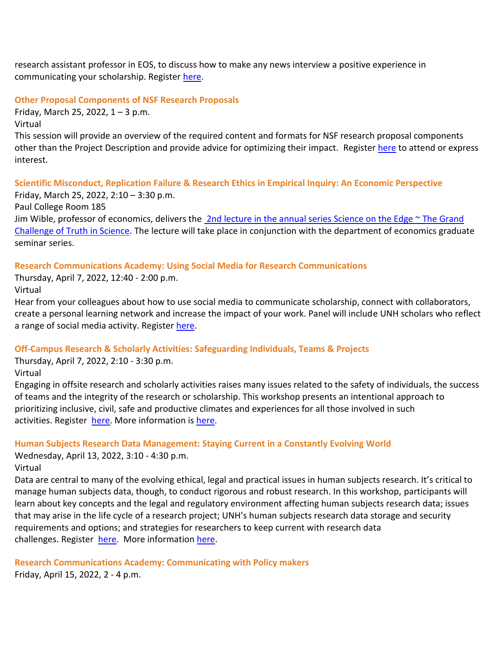research assistant professor in EOS, to discuss how to make any news interview a positive experience in communicating your scholarship. Register [here.](https://nam12.safelinks.protection.outlook.com/?url=https%3A%2F%2Fclick.send.unh.edu%2F%3Fqs%3D76e1691462a43e0aa1c11813dc5069d6fdb66630677e9994ac286b19b5af821adc1ea7695089c505390a622d6b171240c2ba30064b5a24d9&data=04%7C01%7CNicole.Hentz%40unh.edu%7Ced6a1a9946014f88376e08da01e48c3c%7Cd6241893512d46dc8d2bbe47e25f5666%7C0%7C0%7C637824378359827999%7CUnknown%7CTWFpbGZsb3d8eyJWIjoiMC4wLjAwMDAiLCJQIjoiV2luMzIiLCJBTiI6Ik1haWwiLCJXVCI6Mn0%3D%7C3000&sdata=kXKhUGMmIFRHd%2FSFe2JWMkooVY1iz4izO7RrMCVqyms%3D&reserved=0)

#### **Other Proposal Components of NSF Research Proposals**

Friday, March 25, 2022,  $1 - 3$  p.m.

Virtual

This session will provide an overview of the required content and formats for NSF research proposal components other than the Project Description and provide advice for optimizing their impact. Registe[r here](https://nam12.safelinks.protection.outlook.com/?url=https%3A%2F%2Fclick.send.unh.edu%2F%3Fqs%3D76e1691462a43e0adf6c9f16f1e059ca072a70810859459b28e00f146c66259b9a66c4ed0b6e9e1aecfd89d066560a7986c0ac40c8dc4bd1&data=04%7C01%7CNicole.Hentz%40unh.edu%7Ced6a1a9946014f88376e08da01e48c3c%7Cd6241893512d46dc8d2bbe47e25f5666%7C0%7C0%7C637824378359827999%7CUnknown%7CTWFpbGZsb3d8eyJWIjoiMC4wLjAwMDAiLCJQIjoiV2luMzIiLCJBTiI6Ik1haWwiLCJXVCI6Mn0%3D%7C3000&sdata=VQJ5Jhk3Qx3WWSBByGcYIGQS1x9hvIgc%2FZYyQv%2FFYGE%3D&reserved=0) to attend or express interest.

# **Scientific Misconduct, Replication Failure & Research Ethics in Empirical Inquiry: An Economic Perspective**

Friday, March 25, 2022, 2:10 – 3:30 p.m.

Paul College Room 185

Jim Wible, professor of economics, delivers the  $2nd$  lecture in the annual series Science on the Edge  $\sim$  The Grand [Challenge of Truth in Science.](https://nam12.safelinks.protection.outlook.com/?url=https%3A%2F%2Fclick.send.unh.edu%2F%3Fqs%3D76e1691462a43e0a32ee96d3f17a2bc0314f1ec9ef3816f40f17e26aea7003c29a4b440e61fff174e43dc1576bcce220a0ea70c00f5b5e4a&data=04%7C01%7CNicole.Hentz%40unh.edu%7Ced6a1a9946014f88376e08da01e48c3c%7Cd6241893512d46dc8d2bbe47e25f5666%7C0%7C0%7C637824378359827999%7CUnknown%7CTWFpbGZsb3d8eyJWIjoiMC4wLjAwMDAiLCJQIjoiV2luMzIiLCJBTiI6Ik1haWwiLCJXVCI6Mn0%3D%7C3000&sdata=JDRFbGShKKgoYT5B4iR6MtfTcieokp3lUL4mvW2aCbI%3D&reserved=0) The lecture will take place in conjunction with the department of economics graduate seminar series.

# **Research Communications Academy: Using Social Media for Research Communications**

Thursday, April 7, 2022, 12:40 - 2:00 p.m.

Virtual

Hear from your colleagues about how to use social media to communicate scholarship, connect with collaborators, create a personal learning network and increase the impact of your work. Panel will include UNH scholars who reflect a range of social media activity. Register [here.](https://nam12.safelinks.protection.outlook.com/?url=https%3A%2F%2Fclick.send.unh.edu%2F%3Fqs%3D76e1691462a43e0acbfe4d32a4939c6fc48ea10dcdec08cc3bedf7c5dae23adb4cbbb3fd2725fdc1dcfdffad4b2803ad0418036fb43530a0&data=04%7C01%7CNicole.Hentz%40unh.edu%7Ced6a1a9946014f88376e08da01e48c3c%7Cd6241893512d46dc8d2bbe47e25f5666%7C0%7C0%7C637824378359827999%7CUnknown%7CTWFpbGZsb3d8eyJWIjoiMC4wLjAwMDAiLCJQIjoiV2luMzIiLCJBTiI6Ik1haWwiLCJXVCI6Mn0%3D%7C3000&sdata=gQlU9zepVWfy4Q0%2BWIekt95owAMaUaTOXGmY7fgOg48%3D&reserved=0)

# **Off-Campus Research & Scholarly Activities: Safeguarding Individuals, Teams & Projects**

Thursday, April 7, 2022, 2:10 - 3:30 p.m.

Virtual

Engaging in offsite research and scholarly activities raises many issues related to the safety of individuals, the success of teams and the integrity of the research or scholarship. This workshop presents an intentional approach to prioritizing inclusive, civil, safe and productive climates and experiences for all those involved in such activities. Register [here.](https://nam12.safelinks.protection.outlook.com/?url=https%3A%2F%2Fclick.send.unh.edu%2F%3Fqs%3D76e1691462a43e0a7beffe07d02553168966be1b60c81dd7bc6165f1e3062dbcc19910b158d04bae846defb29fc93805c75778ba369d5f22&data=04%7C01%7CNicole.Hentz%40unh.edu%7Ced6a1a9946014f88376e08da01e48c3c%7Cd6241893512d46dc8d2bbe47e25f5666%7C0%7C0%7C637824378359827999%7CUnknown%7CTWFpbGZsb3d8eyJWIjoiMC4wLjAwMDAiLCJQIjoiV2luMzIiLCJBTiI6Ik1haWwiLCJXVCI6Mn0%3D%7C3000&sdata=eVZQJP%2BEI6o8IAELnEfvkgHLATleJuEJ%2FdKeoNU3ahg%3D&reserved=0) More information is [here.](https://nam12.safelinks.protection.outlook.com/?url=https%3A%2F%2Fclick.send.unh.edu%2F%3Fqs%3D76e1691462a43e0aad6e2b3c42a9f3121de879ae2bc824785963637ecad515030f72e561fd2ca4ea4d8e0c424d2f703bf6acaab6a224376c&data=04%7C01%7CNicole.Hentz%40unh.edu%7Ced6a1a9946014f88376e08da01e48c3c%7Cd6241893512d46dc8d2bbe47e25f5666%7C0%7C0%7C637824378359827999%7CUnknown%7CTWFpbGZsb3d8eyJWIjoiMC4wLjAwMDAiLCJQIjoiV2luMzIiLCJBTiI6Ik1haWwiLCJXVCI6Mn0%3D%7C3000&sdata=mHHqGdXJI1SdDzFFWEyJb7H3229FrAgbDosfDxlg9s0%3D&reserved=0)

# **Human Subjects Research Data Management: Staying Current in a Constantly Evolving World**

Wednesday, April 13, 2022, 3:10 - 4:30 p.m. Virtual

Data are central to many of the evolving ethical, legal and practical issues in human subjects research. It's critical to manage human subjects data, though, to conduct rigorous and robust research. In this workshop, participants will learn about key concepts and the legal and regulatory environment affecting human subjects research data; issues that may arise in the life cycle of a research project; UNH's human subjects research data storage and security requirements and options; and strategies for researchers to keep current with research data challenges. Register [here.](https://nam12.safelinks.protection.outlook.com/?url=https%3A%2F%2Fclick.send.unh.edu%2F%3Fqs%3D76e1691462a43e0a3b5ca2fd8060cd6806a23c256f2d1c029e52aafa0916a570f805a05b2f4f88b518609531f47afd54769e570f49e8091d&data=04%7C01%7CNicole.Hentz%40unh.edu%7Ced6a1a9946014f88376e08da01e48c3c%7Cd6241893512d46dc8d2bbe47e25f5666%7C0%7C0%7C637824378359827999%7CUnknown%7CTWFpbGZsb3d8eyJWIjoiMC4wLjAwMDAiLCJQIjoiV2luMzIiLCJBTiI6Ik1haWwiLCJXVCI6Mn0%3D%7C3000&sdata=mnuJyioPtJCrHcd7A1oQHfDH%2BwcbiJKEaHpXZ68sS8E%3D&reserved=0) More information [here.](https://nam12.safelinks.protection.outlook.com/?url=https%3A%2F%2Fclick.send.unh.edu%2F%3Fqs%3D76e1691462a43e0a403f762db78163eeda5dfda25db76e83654a550ac77da60c30ffcd94e3acae6bcc9e9f6d3488064a7d41815d9e94ad79&data=04%7C01%7CNicole.Hentz%40unh.edu%7Ced6a1a9946014f88376e08da01e48c3c%7Cd6241893512d46dc8d2bbe47e25f5666%7C0%7C0%7C637824378359827999%7CUnknown%7CTWFpbGZsb3d8eyJWIjoiMC4wLjAwMDAiLCJQIjoiV2luMzIiLCJBTiI6Ik1haWwiLCJXVCI6Mn0%3D%7C3000&sdata=IqdbwUfo3aNqsI1wHnelrvjQ9VUjF8VW9h4PqHjkPQk%3D&reserved=0)

**Research Communications Academy: Communicating with Policy makers** Friday, April 15, 2022, 2 - 4 p.m.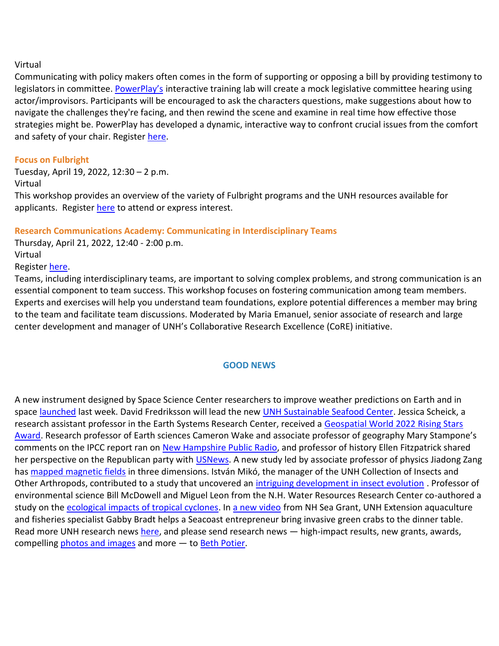# Virtual

Communicating with policy makers often comes in the form of supporting or opposing a bill by providing testimony to legislators in committee. [PowerPlay's](https://nam12.safelinks.protection.outlook.com/?url=https%3A%2F%2Fclick.send.unh.edu%2F%3Fqs%3D76e1691462a43e0a8bf35c3733de8e5f1131517b1572243d313ad6fb2ce775e7296f186ec623baefc280436793b529f49b5c3528328bea5f&data=04%7C01%7CNicole.Hentz%40unh.edu%7Ced6a1a9946014f88376e08da01e48c3c%7Cd6241893512d46dc8d2bbe47e25f5666%7C0%7C0%7C637824378359827999%7CUnknown%7CTWFpbGZsb3d8eyJWIjoiMC4wLjAwMDAiLCJQIjoiV2luMzIiLCJBTiI6Ik1haWwiLCJXVCI6Mn0%3D%7C3000&sdata=MKwQjzwqZ0LJYbjSn4jKECtRyaRwjvU5e3jwGbhfg88%3D&reserved=0) interactive training lab will create a mock legislative committee hearing using actor/improvisors. Participants will be encouraged to ask the characters questions, make suggestions about how to navigate the challenges they're facing, and then rewind the scene and examine in real time how effective those strategies might be. PowerPlay has developed a dynamic, interactive way to confront crucial issues from the comfort and safety of your chair. Register [here.](https://nam12.safelinks.protection.outlook.com/?url=https%3A%2F%2Fclick.send.unh.edu%2F%3Fqs%3D76e1691462a43e0a16c52f1f6e40d990f4d02aa68205960b4bdc6ef01f6d29f7e05ead98aa9ce9ac1df11f2f981c00bff279f08451d02aee&data=04%7C01%7CNicole.Hentz%40unh.edu%7Ced6a1a9946014f88376e08da01e48c3c%7Cd6241893512d46dc8d2bbe47e25f5666%7C0%7C0%7C637824378359827999%7CUnknown%7CTWFpbGZsb3d8eyJWIjoiMC4wLjAwMDAiLCJQIjoiV2luMzIiLCJBTiI6Ik1haWwiLCJXVCI6Mn0%3D%7C3000&sdata=8Ye%2Fp1yvRfn7xMv7O8e2pbpyzXw7i346WFSUhQi9XtQ%3D&reserved=0)

# **Focus on Fulbright**

Tuesday, April 19, 2022, 12:30 – 2 p.m. Virtual

This workshop provides an overview of the variety of Fulbright programs and the UNH resources available for applicants. Registe[r here](https://nam12.safelinks.protection.outlook.com/?url=https%3A%2F%2Fclick.send.unh.edu%2F%3Fqs%3D76e1691462a43e0a47119c18b29bb61f35c57029310501f05a5ddb201f48f46a71843ec91f5c1ca49d98f77a35235cdfa1e46431cdcf2345&data=04%7C01%7CNicole.Hentz%40unh.edu%7Ced6a1a9946014f88376e08da01e48c3c%7Cd6241893512d46dc8d2bbe47e25f5666%7C0%7C0%7C637824378359827999%7CUnknown%7CTWFpbGZsb3d8eyJWIjoiMC4wLjAwMDAiLCJQIjoiV2luMzIiLCJBTiI6Ik1haWwiLCJXVCI6Mn0%3D%7C3000&sdata=cCv9auyHN4ibW2rBs6Arwe%2FhX%2F%2FzCf%2FbuSj80%2F0GHQk%3D&reserved=0) to attend or express interest.

# **Research Communications Academy: Communicating in Interdisciplinary Teams**

Thursday, April 21, 2022, 12:40 - 2:00 p.m.

# Virtual

# Register [here.](https://nam12.safelinks.protection.outlook.com/?url=https%3A%2F%2Fclick.send.unh.edu%2F%3Fqs%3D76e1691462a43e0a4ba1266e76adc5fd219af3b61a8423f1c3cacd59dcafba1ec6652298fcd0c42a16be1806e5b232012f594b1a25e737b9&data=04%7C01%7CNicole.Hentz%40unh.edu%7Ced6a1a9946014f88376e08da01e48c3c%7Cd6241893512d46dc8d2bbe47e25f5666%7C0%7C0%7C637824378359827999%7CUnknown%7CTWFpbGZsb3d8eyJWIjoiMC4wLjAwMDAiLCJQIjoiV2luMzIiLCJBTiI6Ik1haWwiLCJXVCI6Mn0%3D%7C3000&sdata=Cd8KB2GkxrEGSmtbybLxW2N74xWZvu%2FwbubwpJzdCWE%3D&reserved=0)

Teams, including interdisciplinary teams, are important to solving complex problems, and strong communication is an essential component to team success. This workshop focuses on fostering communication among team members. Experts and exercises will help you understand team foundations, explore potential differences a member may bring to the team and facilitate team discussions. Moderated by Maria Emanuel, senior associate of research and large center development and manager of UNH's Collaborative Research Excellence (CoRE) initiative.

# **GOOD NEWS**

A new instrument designed by Space Science Center researchers to improve weather predictions on Earth and in space [launched](https://nam12.safelinks.protection.outlook.com/?url=https%3A%2F%2Fclick.send.unh.edu%2F%3Fqs%3D76e1691462a43e0a61e604a86a75aa90434fda937de7c3c5396275d630bced42ee6bf38c5cd147a4d73f2cec59d02aa0e27e4bf9cc53ca53&data=04%7C01%7CNicole.Hentz%40unh.edu%7Ced6a1a9946014f88376e08da01e48c3c%7Cd6241893512d46dc8d2bbe47e25f5666%7C0%7C0%7C637824378359827999%7CUnknown%7CTWFpbGZsb3d8eyJWIjoiMC4wLjAwMDAiLCJQIjoiV2luMzIiLCJBTiI6Ik1haWwiLCJXVCI6Mn0%3D%7C3000&sdata=nK6wMEbC0P2i%2BCgnxugMg7TxxljM3KDuq5klgmYxZjo%3D&reserved=0) last week. David Fredriksson will lead the new [UNH Sustainable Seafood Center.](https://nam12.safelinks.protection.outlook.com/?url=https%3A%2F%2Fclick.send.unh.edu%2F%3Fqs%3D76e1691462a43e0a6f6ce395b5cdfe6d9143a05a5ec4dbacc7fcfd717c7e55cc5b2bd4c80a14aa1126893beaf718f1da0dcf7920c29807d7&data=04%7C01%7CNicole.Hentz%40unh.edu%7Ced6a1a9946014f88376e08da01e48c3c%7Cd6241893512d46dc8d2bbe47e25f5666%7C0%7C0%7C637824378359827999%7CUnknown%7CTWFpbGZsb3d8eyJWIjoiMC4wLjAwMDAiLCJQIjoiV2luMzIiLCJBTiI6Ik1haWwiLCJXVCI6Mn0%3D%7C3000&sdata=QUZiSo0GTDsnFadYIfZCsioMfDh%2F2LGyfWr5pGbHO0s%3D&reserved=0) Jessica Scheick, a research assistant professor in the Earth Systems Research Center, received a [Geospatial World 2022 Rising Stars](https://nam12.safelinks.protection.outlook.com/?url=https%3A%2F%2Fclick.send.unh.edu%2F%3Fqs%3D76e1691462a43e0ad091cddc072639db0bcb6245f739fcb71b9fc81fc36424a3e2a4bbf8280a37045823a85bf3ee61d157b491aa29cdde61&data=04%7C01%7CNicole.Hentz%40unh.edu%7Ced6a1a9946014f88376e08da01e48c3c%7Cd6241893512d46dc8d2bbe47e25f5666%7C0%7C0%7C637824378359984201%7CUnknown%7CTWFpbGZsb3d8eyJWIjoiMC4wLjAwMDAiLCJQIjoiV2luMzIiLCJBTiI6Ik1haWwiLCJXVCI6Mn0%3D%7C3000&sdata=n%2FN%2FkMbZGQasWdSqrCi7ylDUEkHxGJsy8fgP8PdevDw%3D&reserved=0)  [Award.](https://nam12.safelinks.protection.outlook.com/?url=https%3A%2F%2Fclick.send.unh.edu%2F%3Fqs%3D76e1691462a43e0ad091cddc072639db0bcb6245f739fcb71b9fc81fc36424a3e2a4bbf8280a37045823a85bf3ee61d157b491aa29cdde61&data=04%7C01%7CNicole.Hentz%40unh.edu%7Ced6a1a9946014f88376e08da01e48c3c%7Cd6241893512d46dc8d2bbe47e25f5666%7C0%7C0%7C637824378359984201%7CUnknown%7CTWFpbGZsb3d8eyJWIjoiMC4wLjAwMDAiLCJQIjoiV2luMzIiLCJBTiI6Ik1haWwiLCJXVCI6Mn0%3D%7C3000&sdata=n%2FN%2FkMbZGQasWdSqrCi7ylDUEkHxGJsy8fgP8PdevDw%3D&reserved=0) Research professor of Earth sciences Cameron Wake and associate professor of geography Mary Stampone's comments on the IPCC report ran on [New Hampshire Public Radio,](https://nam12.safelinks.protection.outlook.com/?url=https%3A%2F%2Fclick.send.unh.edu%2F%3Fqs%3D76e1691462a43e0abc18ead8071a331ddc7fc8d8419957d0696010079f30ddfc319efa57538f2ce05e4fe3844f8a83ce7e030ebb747dda4b&data=04%7C01%7CNicole.Hentz%40unh.edu%7Ced6a1a9946014f88376e08da01e48c3c%7Cd6241893512d46dc8d2bbe47e25f5666%7C0%7C0%7C637824378359984201%7CUnknown%7CTWFpbGZsb3d8eyJWIjoiMC4wLjAwMDAiLCJQIjoiV2luMzIiLCJBTiI6Ik1haWwiLCJXVCI6Mn0%3D%7C3000&sdata=%2B1vw1IUoebK%2FgDPZ59bhCe938xnrEKymT4OyvMnpfhw%3D&reserved=0) and professor of history Ellen Fitzpatrick shared her perspective on the Republican party with [USNews.](https://nam12.safelinks.protection.outlook.com/?url=https%3A%2F%2Fclick.send.unh.edu%2F%3Fqs%3D76e1691462a43e0ae0493da27e44a54c2d56feaddb781b8badd05bd0420232cf85db885924b5a10053cf48f7f7dedc65848c263635cb9126&data=04%7C01%7CNicole.Hentz%40unh.edu%7Ced6a1a9946014f88376e08da01e48c3c%7Cd6241893512d46dc8d2bbe47e25f5666%7C0%7C0%7C637824378359984201%7CUnknown%7CTWFpbGZsb3d8eyJWIjoiMC4wLjAwMDAiLCJQIjoiV2luMzIiLCJBTiI6Ik1haWwiLCJXVCI6Mn0%3D%7C3000&sdata=MW2Bq0fWo7s0wKRyGHVmmdol68Whj2VjOn9XAiDetk4%3D&reserved=0) A new study led by associate professor of physics Jiadong Zang has [mapped magnetic fields](https://nam12.safelinks.protection.outlook.com/?url=https%3A%2F%2Fclick.send.unh.edu%2F%3Fqs%3D76e1691462a43e0a51a93f4479c2208ed4533569537123cdc86d7fc3a32b4e9d5363437fdd344cf75c4d5e56048ee6ebbb6f6279dbb0a6b9&data=04%7C01%7CNicole.Hentz%40unh.edu%7Ced6a1a9946014f88376e08da01e48c3c%7Cd6241893512d46dc8d2bbe47e25f5666%7C0%7C0%7C637824378359984201%7CUnknown%7CTWFpbGZsb3d8eyJWIjoiMC4wLjAwMDAiLCJQIjoiV2luMzIiLCJBTiI6Ik1haWwiLCJXVCI6Mn0%3D%7C3000&sdata=VC2UMYQApo%2FLSivjLYpyhz2pfyOMwBMidRw3YTn9bpo%3D&reserved=0) in three dimensions. István Mikó, the manager of the UNH Collection of Insects and Other Arthropods, contributed to a study that uncovered an [intriguing development in insect evolution](https://nam12.safelinks.protection.outlook.com/?url=https%3A%2F%2Fclick.send.unh.edu%2F%3Fqs%3D76e1691462a43e0a96840597dd5599308847e0ad8b4a880a5f01df164d6ad09df39d7a33f51e0153277c1961618c3adf955da82f040639c4&data=04%7C01%7CNicole.Hentz%40unh.edu%7Ced6a1a9946014f88376e08da01e48c3c%7Cd6241893512d46dc8d2bbe47e25f5666%7C0%7C0%7C637824378359984201%7CUnknown%7CTWFpbGZsb3d8eyJWIjoiMC4wLjAwMDAiLCJQIjoiV2luMzIiLCJBTiI6Ik1haWwiLCJXVCI6Mn0%3D%7C3000&sdata=ljqX1f8xCGj9o0NoIZMvFd0nMfZMtN927gnp4gZ00ek%3D&reserved=0) . Professor of environmental science Bill McDowell and Miguel Leon from the N.H. Water Resources Research Center co-authored a study on the [ecological impacts of tropical cyclones.](https://nam12.safelinks.protection.outlook.com/?url=https%3A%2F%2Fclick.send.unh.edu%2F%3Fqs%3D76e1691462a43e0aab56be4537373f2ec3d82c79587ba7ea517d0c4c56bede1134134a3f0e03c4b744e4fe7ebd6ef4749b83d072ede08fd4&data=04%7C01%7CNicole.Hentz%40unh.edu%7Ced6a1a9946014f88376e08da01e48c3c%7Cd6241893512d46dc8d2bbe47e25f5666%7C0%7C0%7C637824378359984201%7CUnknown%7CTWFpbGZsb3d8eyJWIjoiMC4wLjAwMDAiLCJQIjoiV2luMzIiLCJBTiI6Ik1haWwiLCJXVCI6Mn0%3D%7C3000&sdata=T%2B%2BbA6r%2FfPdW2VxDy96UrF9LttCMUwA4Gjf5GedKFsQ%3D&reserved=0) In [a new video](https://nam12.safelinks.protection.outlook.com/?url=https%3A%2F%2Fclick.send.unh.edu%2F%3Fqs%3D76e1691462a43e0a3c2797ede2cce12a00a4a6952efa635016e6f832743fd132dc8405fa936607c60ea4e2e8749c2e98fd3b2ba79c06944b&data=04%7C01%7CNicole.Hentz%40unh.edu%7Ced6a1a9946014f88376e08da01e48c3c%7Cd6241893512d46dc8d2bbe47e25f5666%7C0%7C0%7C637824378359984201%7CUnknown%7CTWFpbGZsb3d8eyJWIjoiMC4wLjAwMDAiLCJQIjoiV2luMzIiLCJBTiI6Ik1haWwiLCJXVCI6Mn0%3D%7C3000&sdata=D%2FXhlw7ayAk81QF60KtDN%2BhgV31uM3%2Bt8SODX9rtFkM%3D&reserved=0) from NH Sea Grant, UNH Extension aquaculture and fisheries specialist Gabby Bradt helps a Seacoast entrepreneur bring invasive green crabs to the dinner table. Read more UNH research news [here,](https://nam12.safelinks.protection.outlook.com/?url=https%3A%2F%2Fclick.send.unh.edu%2F%3Fqs%3D76e1691462a43e0a6c5b4111ba727179374dad8681401763488222575a3133806a6d106e454cdd9fddeb7ded594d4a87ef6f7366219e35c8&data=04%7C01%7CNicole.Hentz%40unh.edu%7Ced6a1a9946014f88376e08da01e48c3c%7Cd6241893512d46dc8d2bbe47e25f5666%7C0%7C0%7C637824378359984201%7CUnknown%7CTWFpbGZsb3d8eyJWIjoiMC4wLjAwMDAiLCJQIjoiV2luMzIiLCJBTiI6Ik1haWwiLCJXVCI6Mn0%3D%7C3000&sdata=uo%2F1Ck4mvmUO5oYDYxofpuWLahRSfx2JdvAVeKnJyL0%3D&reserved=0) and please send research news — high-impact results, new grants, awards, compelling [photos and images](https://nam12.safelinks.protection.outlook.com/?url=https%3A%2F%2Fclick.send.unh.edu%2F%3Fqs%3D76e1691462a43e0af5e4d5ad4448756b47f7e242a1247046af810de28ce4035173e39f3228293ef2fec80432f7ee6c7ece7974effcb21c06&data=04%7C01%7CNicole.Hentz%40unh.edu%7Ced6a1a9946014f88376e08da01e48c3c%7Cd6241893512d46dc8d2bbe47e25f5666%7C0%7C0%7C637824378359984201%7CUnknown%7CTWFpbGZsb3d8eyJWIjoiMC4wLjAwMDAiLCJQIjoiV2luMzIiLCJBTiI6Ik1haWwiLCJXVCI6Mn0%3D%7C3000&sdata=861ztNyXsx%2Bf9grMIHg88RcjEg1dI%2Bc9uIIkHAiRt2w%3D&reserved=0) and more — to [Beth Potier.](mailto:beth.potier@unh.edu)